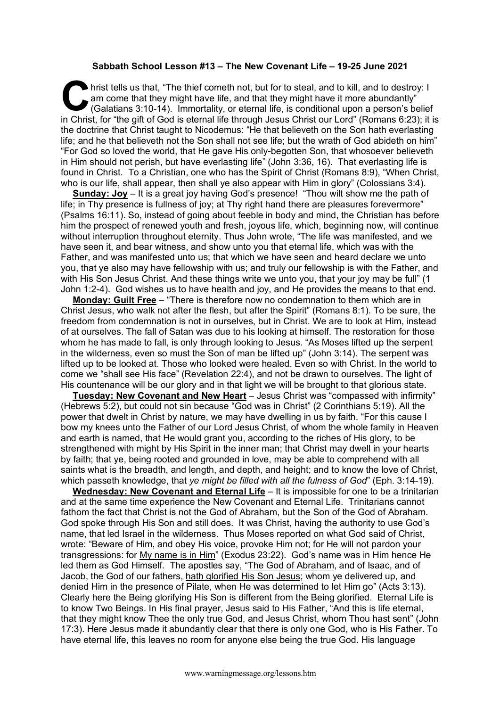## **Sabbath School Lesson #13 – The New Covenant Life – 19-25 June 2021**

hrist tells us that, "The thief cometh not, but for to steal, and to kill, and to destroy: I<br>am come that they might have life, and that they might have it more abundantly"<br>(Galatians 3:10-14). Immortality, or eternal life am come that they might have life, and that they might have it more abundantly" (Galatians 3:10-14). Immortality, or eternal life, is conditional upon a person's belief in Christ, for "the gift of God is eternal life through Jesus Christ our Lord" (Romans 6:23); it is the doctrine that Christ taught to Nicodemus: "He that believeth on the Son hath everlasting life; and he that believeth not the Son shall not see life; but the wrath of God abideth on him" "For God so loved the world, that He gave His only-begotten Son, that whosoever believeth in Him should not perish, but have everlasting life" (John 3:36, 16). That everlasting life is found in Christ. To a Christian, one who has the Spirit of Christ (Romans 8:9), "When Christ, who is our life, shall appear, then shall ye also appear with Him in glory" (Colossians 3:4).

**Sunday: Joy** – It is a great joy having God's presence! "Thou wilt show me the path of life; in Thy presence is fullness of joy; at Thy right hand there are pleasures forevermore" (Psalms 16:11). So, instead of going about feeble in body and mind, the Christian has before him the prospect of renewed youth and fresh, joyous life, which, beginning now, will continue without interruption throughout eternity. Thus John wrote, "The life was manifested, and we have seen it, and bear witness, and show unto you that eternal life, which was with the Father, and was manifested unto us; that which we have seen and heard declare we unto you, that ye also may have fellowship with us; and truly our fellowship is with the Father, and with His Son Jesus Christ. And these things write we unto you, that your joy may be full" (1 John 1:2-4). God wishes us to have health and joy, and He provides the means to that end.

**Monday: Guilt Free** – "There is therefore now no condemnation to them which are in Christ Jesus, who walk not after the flesh, but after the Spirit" (Romans 8:1). To be sure, the freedom from condemnation is not in ourselves, but in Christ. We are to look at Him, instead of at ourselves. The fall of Satan was due to his looking at himself. The restoration for those whom he has made to fall, is only through looking to Jesus. "As Moses lifted up the serpent in the wilderness, even so must the Son of man be lifted up" (John 3:14). The serpent was lifted up to be looked at. Those who looked were healed. Even so with Christ. In the world to come we "shall see His face" (Revelation 22:4), and not be drawn to ourselves. The light of His countenance will be our glory and in that light we will be brought to that glorious state.

**Tuesday: New Covenant and New Heart** – Jesus Christ was "compassed with infirmity" (Hebrews 5:2), but could not sin because "God was in Christ" (2 Corinthians 5:19). All the power that dwelt in Christ by nature, we may have dwelling in us by faith. "For this cause I bow my knees unto the Father of our Lord Jesus Christ, of whom the whole family in Heaven and earth is named, that He would grant you, according to the riches of His glory, to be strengthened with might by His Spirit in the inner man; that Christ may dwell in your hearts by faith; that ye, being rooted and grounded in love, may be able to comprehend with all saints what is the breadth, and length, and depth, and height; and to know the love of Christ, which passeth knowledge, that *ye might be filled with all the fulness of God*" (Eph. 3:14-19).

**Wednesday: New Covenant and Eternal Life** – It is impossible for one to be a trinitarian and at the same time experience the New Covenant and Eternal Life. Trinitarians cannot fathom the fact that Christ is not the God of Abraham, but the Son of the God of Abraham. God spoke through His Son and still does. It was Christ, having the authority to use God's name, that led Israel in the wilderness. Thus Moses reported on what God said of Christ, wrote: "Beware of Him, and obey His voice, provoke Him not; for He will not pardon your transgressions: for My name is in Him" (Exodus 23:22). God's name was in Him hence He led them as God Himself. The apostles say, "The God of Abraham, and of Isaac, and of Jacob, the God of our fathers, hath glorified His Son Jesus; whom ye delivered up, and denied Him in the presence of Pilate, when He was determined to let Him go" (Acts 3:13). Clearly here the Being glorifying His Son is different from the Being glorified. Eternal Life is to know Two Beings. In His final prayer, Jesus said to His Father, "And this is life eternal, that they might know Thee the only true God, and Jesus Christ, whom Thou hast sent" (John 17:3). Here Jesus made it abundantly clear that there is only one God, who is His Father. To have eternal life, this leaves no room for anyone else being the true God. His language